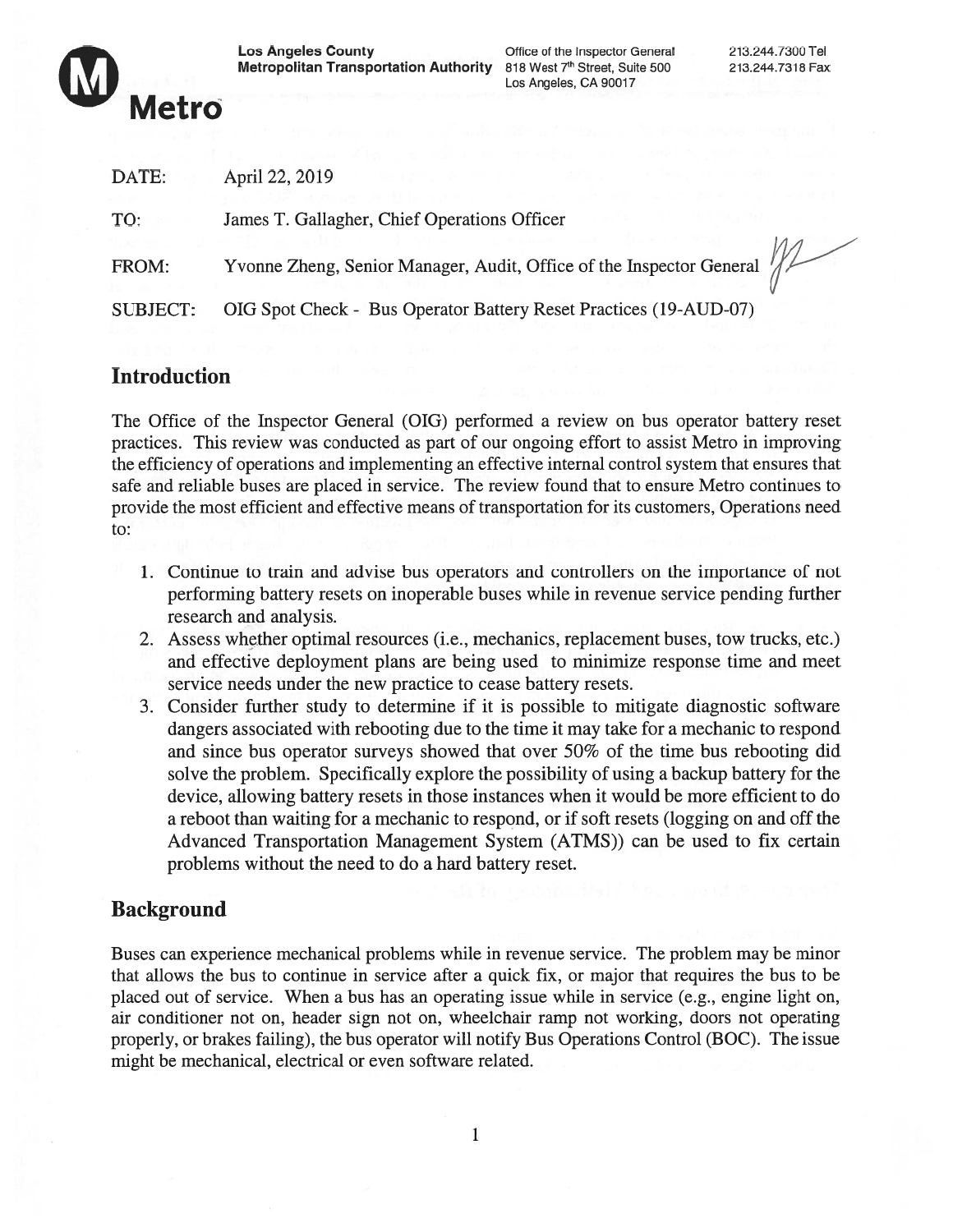

Metropolitan Transportation Authority 818 West 7<sup>th</sup> Street, Suite 500 213.244.7318 Fax

Los Angeles, CA 90017

| DATE:           | April 22, 2019                                                           |
|-----------------|--------------------------------------------------------------------------|
| TO:             | James T. Gallagher, Chief Operations Officer                             |
| FROM:           | Yvonne Zheng, Senior Manager, Audit, Office of the Inspector General /// |
| <b>SUBJECT:</b> | OIG Spot Check - Bus Operator Battery Reset Practices (19-AUD-07)        |

# Introduction

The Office of the Inspector General (OIG) performed <sup>a</sup> review on bus operator battery reset practices. This review was conducted as par<sup>t</sup> of our ongoing effort to assist Metro in improving the efficiency of operations and implementing an effective internal control system that ensures that safe and reliable buses are placed in service. The review found that to ensure Metro continues to provide the most efficient and effective means of transportation for its customers, Operations need to:

- 1. Continue to train and advise bus operators and controllers on the importance of not performing battery resets on inoperable buses while in revenue service pending further research and analysis.
- 2. Assess whether optimal resources (i.e., mechanics, replacement buses, tow trucks, etc.) and effective deployment plans are being used to minimize response time and meet service needs under the new practice to cease battery resets.
- 3. Consider further study to determine if it is possible to mitigate diagnostic software dangers associated with rebooting due to the time it may take for <sup>a</sup> mechanic to respond and since bus operator surveys showed that over 50% of the time bus rebooting did solve the problem. Specifically explore the possibility of using <sup>a</sup> backup battery for the device, allowing battery resets in those instances when it would be more efficient to do <sup>a</sup> reboot than waiting for <sup>a</sup> mechanic to respond, or if soft resets (logging on and off the Advanced Transportation Management System (ATMS)) can be used to fix certain problems without the need to do <sup>a</sup> hard battery reset.

# **Background**

Buses can experience mechanical problems while in revenue service. The problem may be minor that allows the bus to continue in service after <sup>a</sup> quick fix, or major that requires the bus to be placed out of service. When <sup>a</sup> bus has an operating issue while in service (e.g., engine light on, air conditioner not on, header sign not on, wheelchair ramp not working, doors not operating properly, or brakes failing), the bus operator will notify Bus Operations Control (BOC). The issue might be mechanical, electrical or even software related.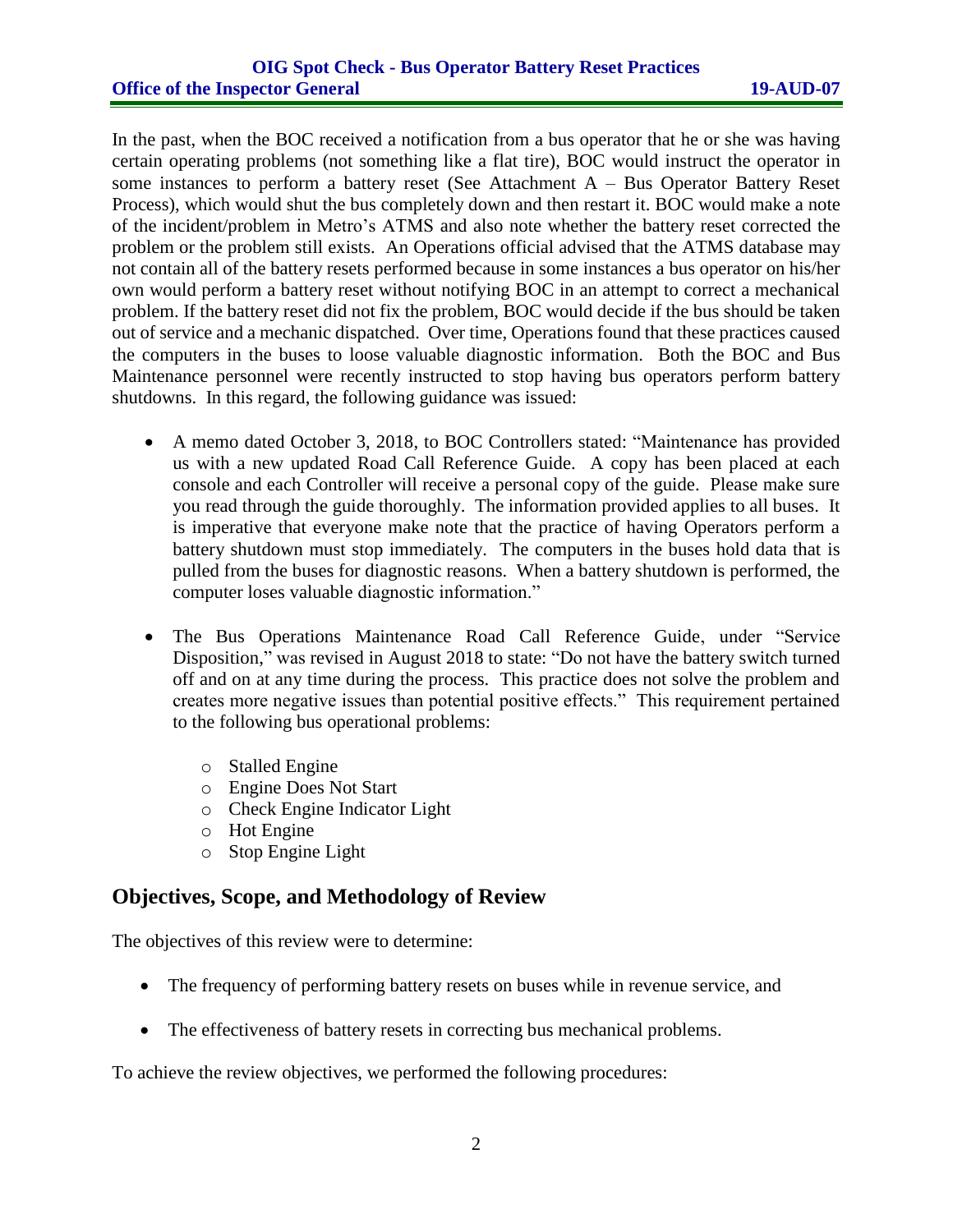#### **OIG Spot Check - Bus Operator Battery Reset Practices Office of the Inspector General 19-AUD-07**

In the past, when the BOC received a notification from a bus operator that he or she was having certain operating problems (not something like a flat tire), BOC would instruct the operator in some instances to perform a battery reset (See Attachment A – Bus Operator Battery Reset Process), which would shut the bus completely down and then restart it. BOC would make a note of the incident/problem in Metro's ATMS and also note whether the battery reset corrected the problem or the problem still exists. An Operations official advised that the ATMS database may not contain all of the battery resets performed because in some instances a bus operator on his/her own would perform a battery reset without notifying BOC in an attempt to correct a mechanical problem. If the battery reset did not fix the problem, BOC would decide if the bus should be taken out of service and a mechanic dispatched. Over time, Operations found that these practices caused the computers in the buses to loose valuable diagnostic information. Both the BOC and Bus Maintenance personnel were recently instructed to stop having bus operators perform battery shutdowns. In this regard, the following guidance was issued:

- A memo dated October 3, 2018, to BOC Controllers stated: "Maintenance has provided us with a new updated Road Call Reference Guide. A copy has been placed at each console and each Controller will receive a personal copy of the guide. Please make sure you read through the guide thoroughly. The information provided applies to all buses. It is imperative that everyone make note that the practice of having Operators perform a battery shutdown must stop immediately. The computers in the buses hold data that is pulled from the buses for diagnostic reasons. When a battery shutdown is performed, the computer loses valuable diagnostic information."
- The Bus Operations Maintenance Road Call Reference Guide, under "Service Disposition," was revised in August 2018 to state: "Do not have the battery switch turned off and on at any time during the process. This practice does not solve the problem and creates more negative issues than potential positive effects." This requirement pertained to the following bus operational problems:
	- o Stalled Engine
	- o Engine Does Not Start
	- o Check Engine Indicator Light
	- o Hot Engine
	- o Stop Engine Light

# **Objectives, Scope, and Methodology of Review**

The objectives of this review were to determine:

- The frequency of performing battery resets on buses while in revenue service, and
- The effectiveness of battery resets in correcting bus mechanical problems.

To achieve the review objectives, we performed the following procedures: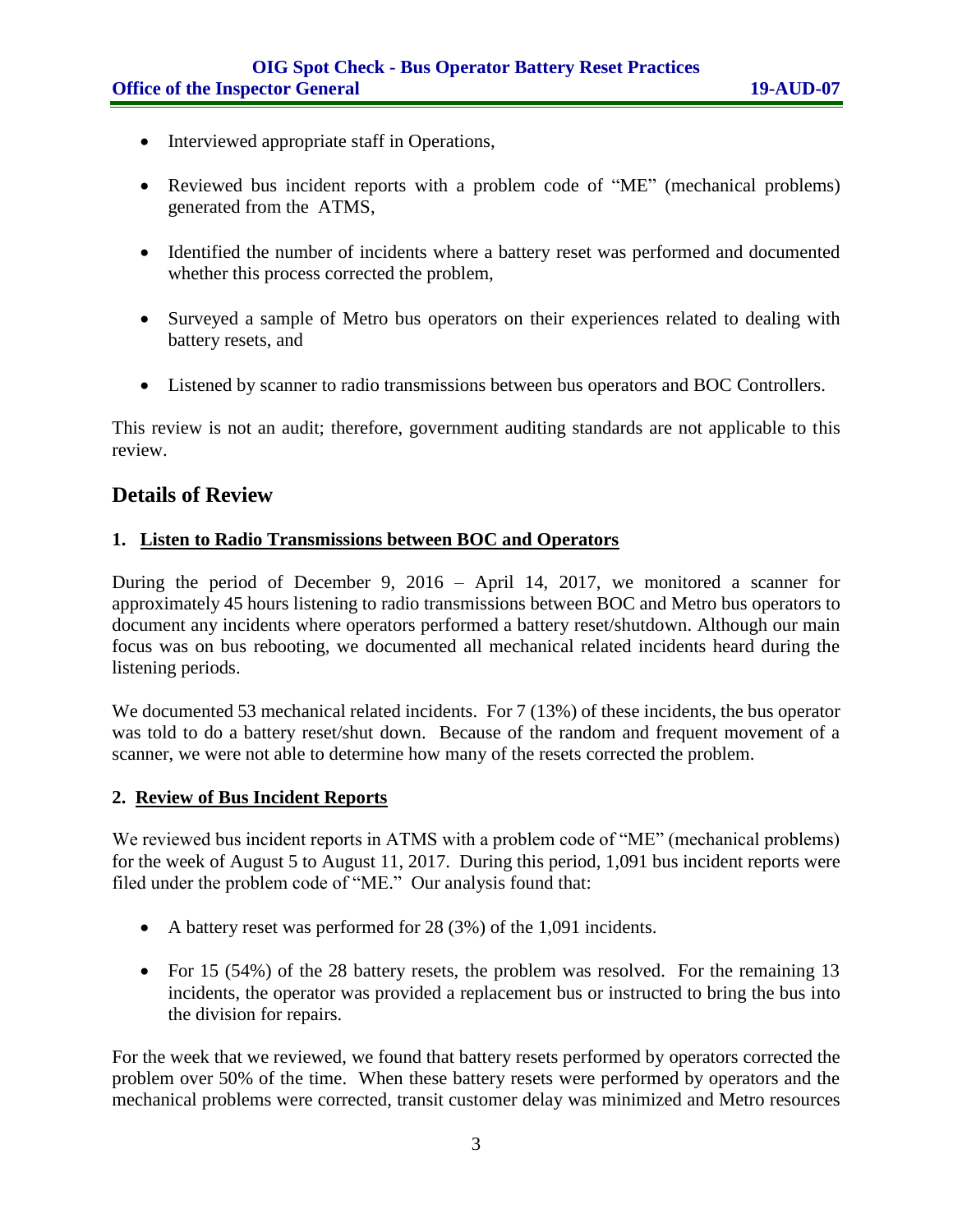- Interviewed appropriate staff in Operations,
- Reviewed bus incident reports with a problem code of "ME" (mechanical problems) generated from the ATMS,
- Identified the number of incidents where a battery reset was performed and documented whether this process corrected the problem,
- Surveyed a sample of Metro bus operators on their experiences related to dealing with battery resets, and
- Listened by scanner to radio transmissions between bus operators and BOC Controllers.

This review is not an audit; therefore, government auditing standards are not applicable to this review.

# **Details of Review**

#### **1. Listen to Radio Transmissions between BOC and Operators**

During the period of December 9, 2016 – April 14, 2017, we monitored a scanner for approximately 45 hours listening to radio transmissions between BOC and Metro bus operators to document any incidents where operators performed a battery reset/shutdown. Although our main focus was on bus rebooting, we documented all mechanical related incidents heard during the listening periods.

We documented 53 mechanical related incidents. For 7 (13%) of these incidents, the bus operator was told to do a battery reset/shut down. Because of the random and frequent movement of a scanner, we were not able to determine how many of the resets corrected the problem.

#### **2. Review of Bus Incident Reports**

We reviewed bus incident reports in ATMS with a problem code of "ME" (mechanical problems) for the week of August 5 to August 11, 2017. During this period, 1,091 bus incident reports were filed under the problem code of "ME." Our analysis found that:

- A battery reset was performed for 28 (3%) of the 1,091 incidents.
- For 15 (54%) of the 28 battery resets, the problem was resolved. For the remaining 13 incidents, the operator was provided a replacement bus or instructed to bring the bus into the division for repairs.

For the week that we reviewed, we found that battery resets performed by operators corrected the problem over 50% of the time. When these battery resets were performed by operators and the mechanical problems were corrected, transit customer delay was minimized and Metro resources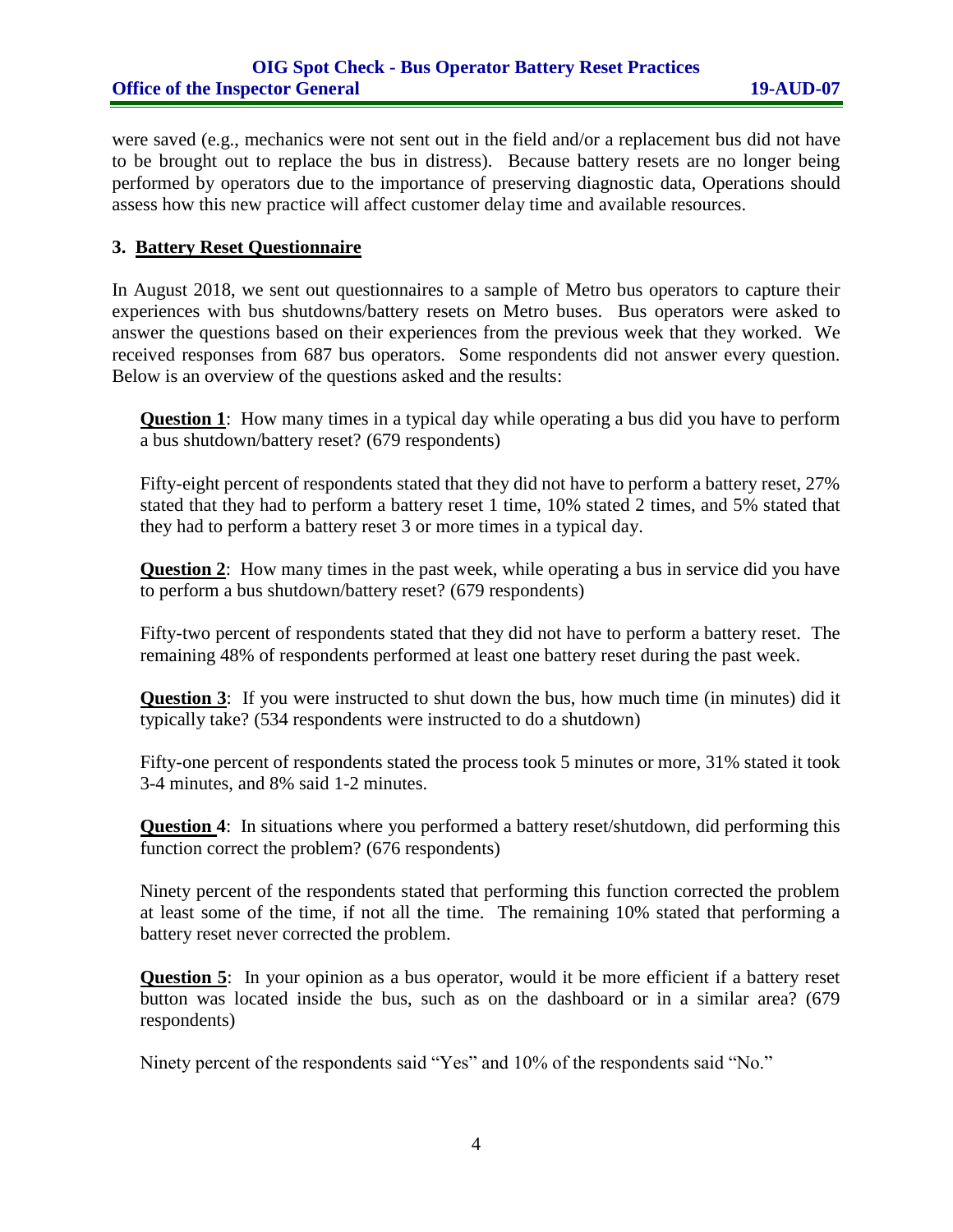were saved (e.g., mechanics were not sent out in the field and/or a replacement bus did not have to be brought out to replace the bus in distress). Because battery resets are no longer being performed by operators due to the importance of preserving diagnostic data, Operations should assess how this new practice will affect customer delay time and available resources.

#### **3. Battery Reset Questionnaire**

In August 2018, we sent out questionnaires to a sample of Metro bus operators to capture their experiences with bus shutdowns/battery resets on Metro buses. Bus operators were asked to answer the questions based on their experiences from the previous week that they worked. We received responses from 687 bus operators. Some respondents did not answer every question. Below is an overview of the questions asked and the results:

**Question 1**: How many times in a typical day while operating a bus did you have to perform a bus shutdown/battery reset? (679 respondents)

Fifty-eight percent of respondents stated that they did not have to perform a battery reset, 27% stated that they had to perform a battery reset 1 time, 10% stated 2 times, and 5% stated that they had to perform a battery reset 3 or more times in a typical day.

**Question 2**: How many times in the past week, while operating a bus in service did you have to perform a bus shutdown/battery reset? (679 respondents)

Fifty-two percent of respondents stated that they did not have to perform a battery reset. The remaining 48% of respondents performed at least one battery reset during the past week.

**Question 3:** If you were instructed to shut down the bus, how much time (in minutes) did it typically take? (534 respondents were instructed to do a shutdown)

Fifty-one percent of respondents stated the process took 5 minutes or more, 31% stated it took 3-4 minutes, and 8% said 1-2 minutes.

**Question 4:** In situations where you performed a battery reset/shutdown, did performing this function correct the problem? (676 respondents)

Ninety percent of the respondents stated that performing this function corrected the problem at least some of the time, if not all the time. The remaining 10% stated that performing a battery reset never corrected the problem.

**Question 5**: In your opinion as a bus operator, would it be more efficient if a battery reset button was located inside the bus, such as on the dashboard or in a similar area? (679 respondents)

Ninety percent of the respondents said "Yes" and 10% of the respondents said "No."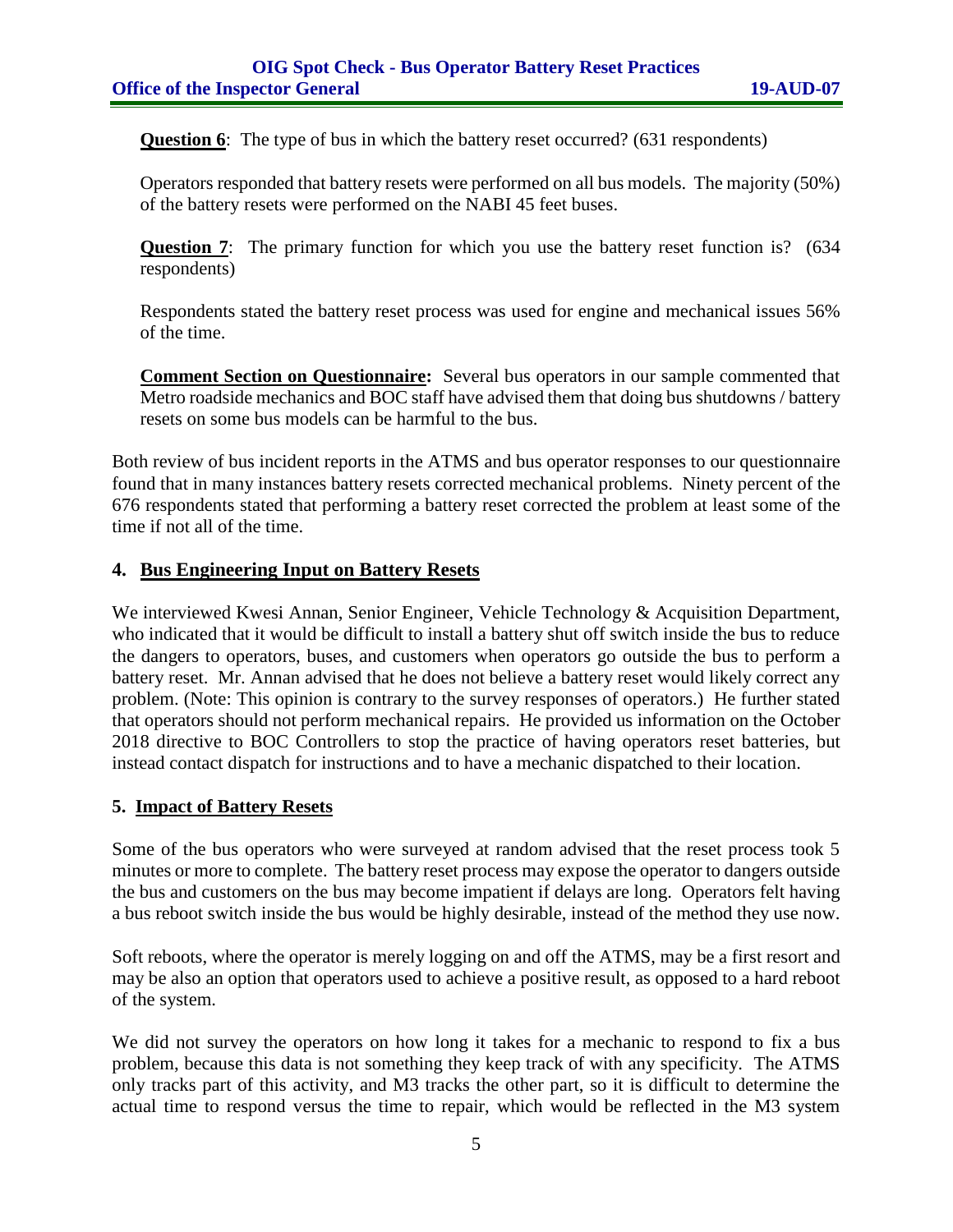**Question 6**: The type of bus in which the battery reset occurred? (631 respondents)

Operators responded that battery resets were performed on all bus models. The majority (50%) of the battery resets were performed on the NABI 45 feet buses.

**Question 7:** The primary function for which you use the battery reset function is? (634) respondents)

Respondents stated the battery reset process was used for engine and mechanical issues 56% of the time.

**Comment Section on Questionnaire:** Several bus operators in our sample commented that Metro roadside mechanics and BOC staff have advised them that doing bus shutdowns / battery resets on some bus models can be harmful to the bus.

Both review of bus incident reports in the ATMS and bus operator responses to our questionnaire found that in many instances battery resets corrected mechanical problems. Ninety percent of the 676 respondents stated that performing a battery reset corrected the problem at least some of the time if not all of the time.

#### **4. Bus Engineering Input on Battery Resets**

We interviewed Kwesi Annan, Senior Engineer, Vehicle Technology & Acquisition Department, who indicated that it would be difficult to install a battery shut off switch inside the bus to reduce the dangers to operators, buses, and customers when operators go outside the bus to perform a battery reset. Mr. Annan advised that he does not believe a battery reset would likely correct any problem. (Note: This opinion is contrary to the survey responses of operators.) He further stated that operators should not perform mechanical repairs. He provided us information on the October 2018 directive to BOC Controllers to stop the practice of having operators reset batteries, but instead contact dispatch for instructions and to have a mechanic dispatched to their location.

#### **5. Impact of Battery Resets**

Some of the bus operators who were surveyed at random advised that the reset process took 5 minutes or more to complete. The battery reset process may expose the operator to dangers outside the bus and customers on the bus may become impatient if delays are long. Operators felt having a bus reboot switch inside the bus would be highly desirable, instead of the method they use now.

Soft reboots, where the operator is merely logging on and off the ATMS, may be a first resort and may be also an option that operators used to achieve a positive result, as opposed to a hard reboot of the system.

We did not survey the operators on how long it takes for a mechanic to respond to fix a bus problem, because this data is not something they keep track of with any specificity. The ATMS only tracks part of this activity, and M3 tracks the other part, so it is difficult to determine the actual time to respond versus the time to repair, which would be reflected in the M3 system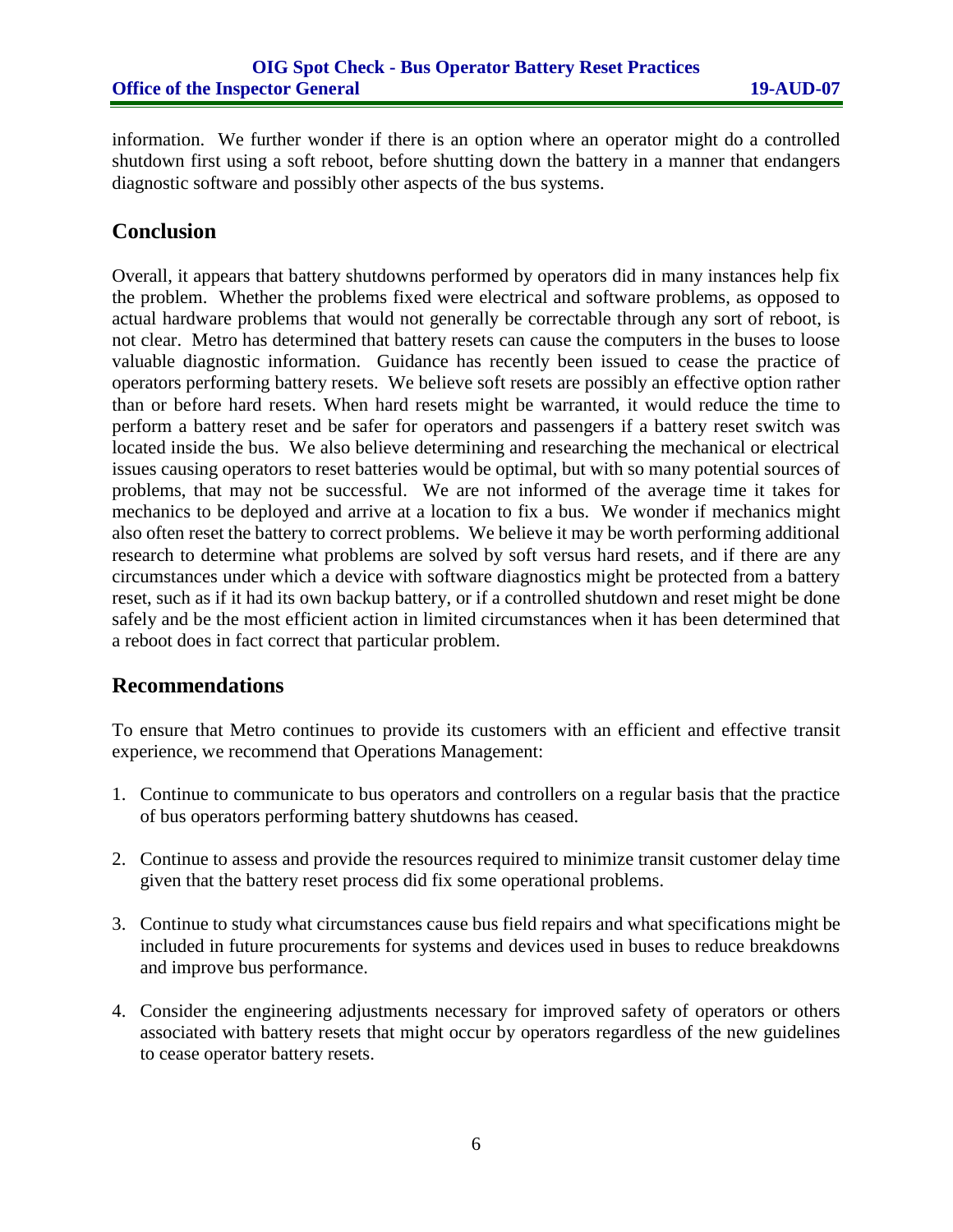information. We further wonder if there is an option where an operator might do a controlled shutdown first using a soft reboot, before shutting down the battery in a manner that endangers diagnostic software and possibly other aspects of the bus systems.

## **Conclusion**

Overall, it appears that battery shutdowns performed by operators did in many instances help fix the problem. Whether the problems fixed were electrical and software problems, as opposed to actual hardware problems that would not generally be correctable through any sort of reboot, is not clear. Metro has determined that battery resets can cause the computers in the buses to loose valuable diagnostic information. Guidance has recently been issued to cease the practice of operators performing battery resets. We believe soft resets are possibly an effective option rather than or before hard resets. When hard resets might be warranted, it would reduce the time to perform a battery reset and be safer for operators and passengers if a battery reset switch was located inside the bus. We also believe determining and researching the mechanical or electrical issues causing operators to reset batteries would be optimal, but with so many potential sources of problems, that may not be successful. We are not informed of the average time it takes for mechanics to be deployed and arrive at a location to fix a bus. We wonder if mechanics might also often reset the battery to correct problems. We believe it may be worth performing additional research to determine what problems are solved by soft versus hard resets, and if there are any circumstances under which a device with software diagnostics might be protected from a battery reset, such as if it had its own backup battery, or if a controlled shutdown and reset might be done safely and be the most efficient action in limited circumstances when it has been determined that a reboot does in fact correct that particular problem.

# **Recommendations**

To ensure that Metro continues to provide its customers with an efficient and effective transit experience, we recommend that Operations Management:

- 1. Continue to communicate to bus operators and controllers on a regular basis that the practice of bus operators performing battery shutdowns has ceased.
- 2. Continue to assess and provide the resources required to minimize transit customer delay time given that the battery reset process did fix some operational problems.
- 3. Continue to study what circumstances cause bus field repairs and what specifications might be included in future procurements for systems and devices used in buses to reduce breakdowns and improve bus performance.
- 4. Consider the engineering adjustments necessary for improved safety of operators or others associated with battery resets that might occur by operators regardless of the new guidelines to cease operator battery resets.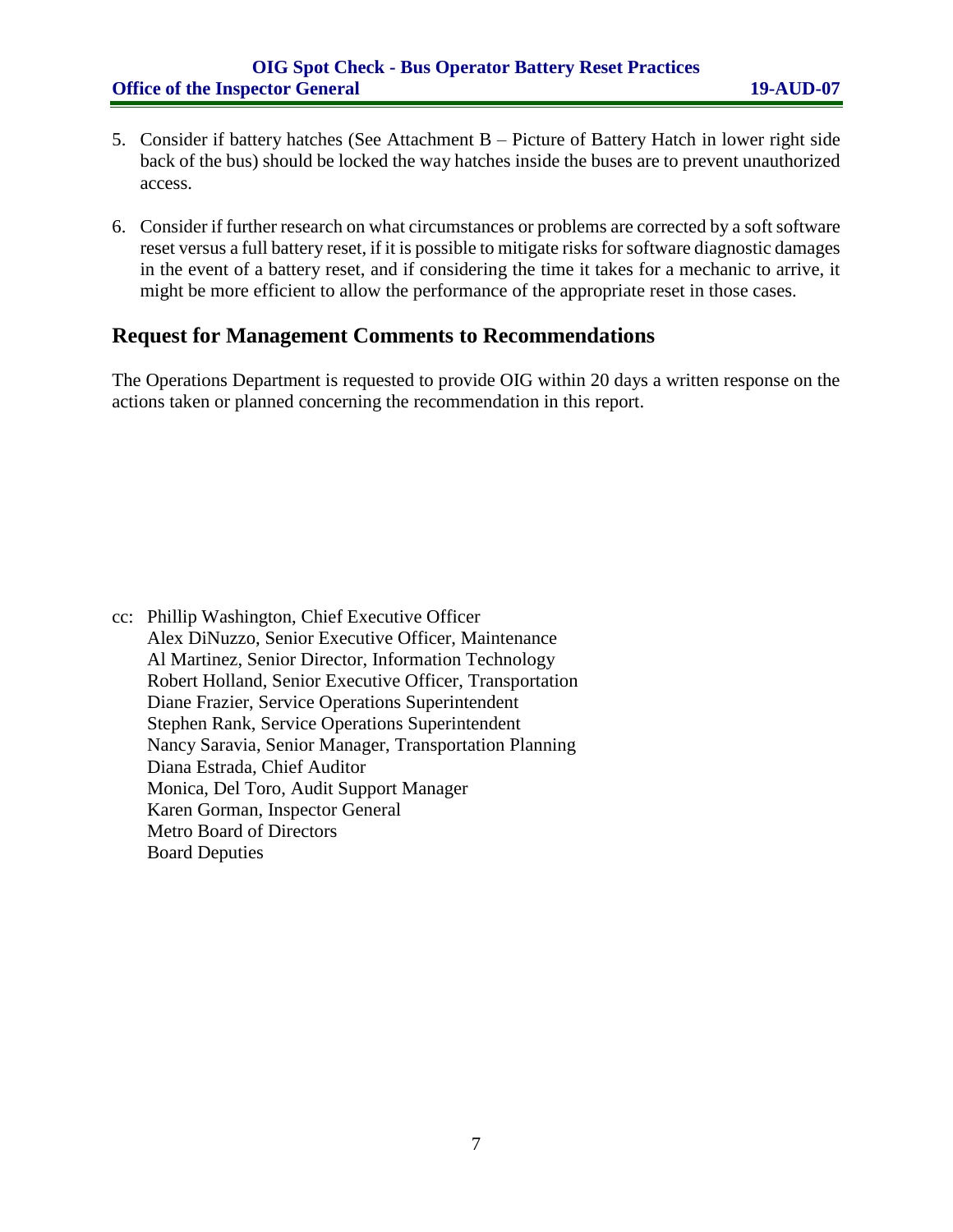### **OIG Spot Check - Bus Operator Battery Reset Practices Office of the Inspector General 19-AUD-07**

- 5. Consider if battery hatches (See Attachment B Picture of Battery Hatch in lower right side back of the bus) should be locked the way hatches inside the buses are to prevent unauthorized access.
- 6. Consider if further research on what circumstances or problems are corrected by a soft software reset versus a full battery reset, if it is possible to mitigate risks for software diagnostic damages in the event of a battery reset, and if considering the time it takes for a mechanic to arrive, it might be more efficient to allow the performance of the appropriate reset in those cases.

# **Request for Management Comments to Recommendations**

The Operations Department is requested to provide OIG within 20 days a written response on the actions taken or planned concerning the recommendation in this report.

cc: Phillip Washington, Chief Executive Officer Alex DiNuzzo, Senior Executive Officer, Maintenance Al Martinez, Senior Director, Information Technology Robert Holland, Senior Executive Officer, Transportation Diane Frazier, Service Operations Superintendent Stephen Rank, Service Operations Superintendent Nancy Saravia, Senior Manager, Transportation Planning Diana Estrada, Chief Auditor Monica, Del Toro, Audit Support Manager Karen Gorman, Inspector General Metro Board of Directors Board Deputies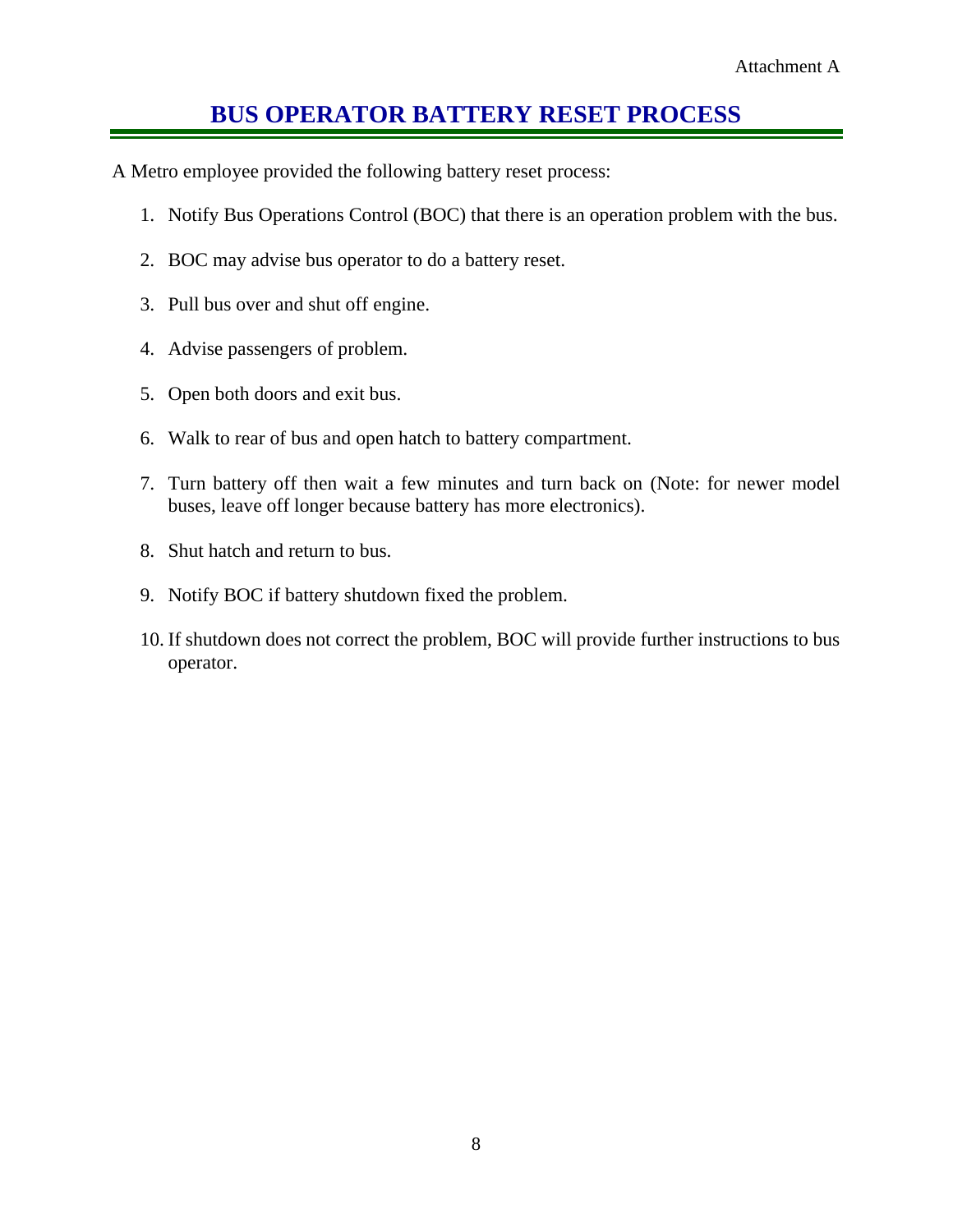# **BUS OPERATOR BATTERY RESET PROCESS**

A Metro employee provided the following battery reset process:

- 1. Notify Bus Operations Control (BOC) that there is an operation problem with the bus.
- 2. BOC may advise bus operator to do a battery reset.
- 3. Pull bus over and shut off engine.
- 4. Advise passengers of problem.
- 5. Open both doors and exit bus.
- 6. Walk to rear of bus and open hatch to battery compartment.
- 7. Turn battery off then wait a few minutes and turn back on (Note: for newer model buses, leave off longer because battery has more electronics).
- 8. Shut hatch and return to bus.
- 9. Notify BOC if battery shutdown fixed the problem.
- 10. If shutdown does not correct the problem, BOC will provide further instructions to bus operator.